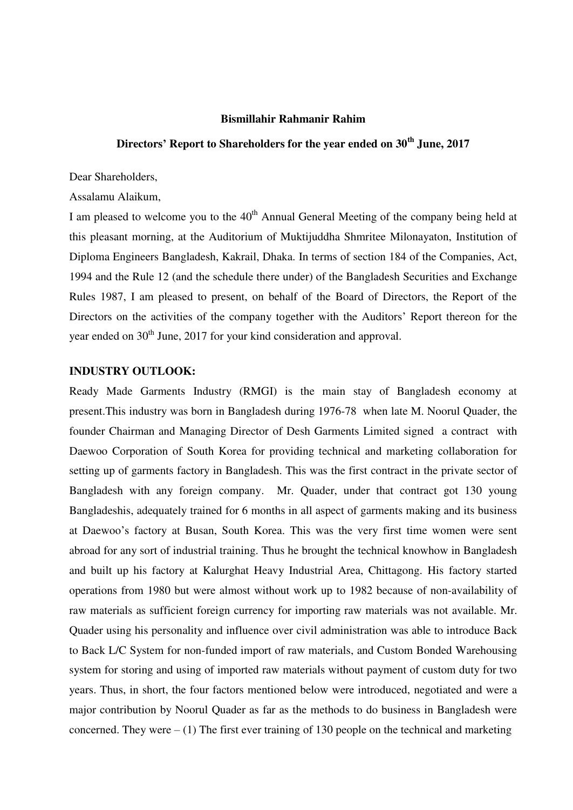#### **Bismillahir Rahmanir Rahim**

# **Directors' Report to Shareholders for the year ended on 30th June, 2017**

Dear Shareholders,

Assalamu Alaikum,

I am pleased to welcome you to the  $40<sup>th</sup>$  Annual General Meeting of the company being held at this pleasant morning, at the Auditorium of Muktijuddha Shmritee Milonayaton, Institution of Diploma Engineers Bangladesh, Kakrail, Dhaka. In terms of section 184 of the Companies, Act, 1994 and the Rule 12 (and the schedule there under) of the Bangladesh Securities and Exchange Rules 1987, I am pleased to present, on behalf of the Board of Directors, the Report of the Directors on the activities of the company together with the Auditors' Report thereon for the year ended on 30<sup>th</sup> June, 2017 for your kind consideration and approval.

#### **INDUSTRY OUTLOOK:**

Ready Made Garments Industry (RMGI) is the main stay of Bangladesh economy at present.This industry was born in Bangladesh during 1976-78 when late M. Noorul Quader, the founder Chairman and Managing Director of Desh Garments Limited signed a contract with Daewoo Corporation of South Korea for providing technical and marketing collaboration for setting up of garments factory in Bangladesh. This was the first contract in the private sector of Bangladesh with any foreign company. Mr. Quader, under that contract got 130 young Bangladeshis, adequately trained for 6 months in all aspect of garments making and its business at Daewoo's factory at Busan, South Korea. This was the very first time women were sent abroad for any sort of industrial training. Thus he brought the technical knowhow in Bangladesh and built up his factory at Kalurghat Heavy Industrial Area, Chittagong. His factory started operations from 1980 but were almost without work up to 1982 because of non-availability of raw materials as sufficient foreign currency for importing raw materials was not available. Mr. Quader using his personality and influence over civil administration was able to introduce Back to Back L/C System for non-funded import of raw materials, and Custom Bonded Warehousing system for storing and using of imported raw materials without payment of custom duty for two years. Thus, in short, the four factors mentioned below were introduced, negotiated and were a major contribution by Noorul Quader as far as the methods to do business in Bangladesh were concerned. They were  $- (1)$  The first ever training of 130 people on the technical and marketing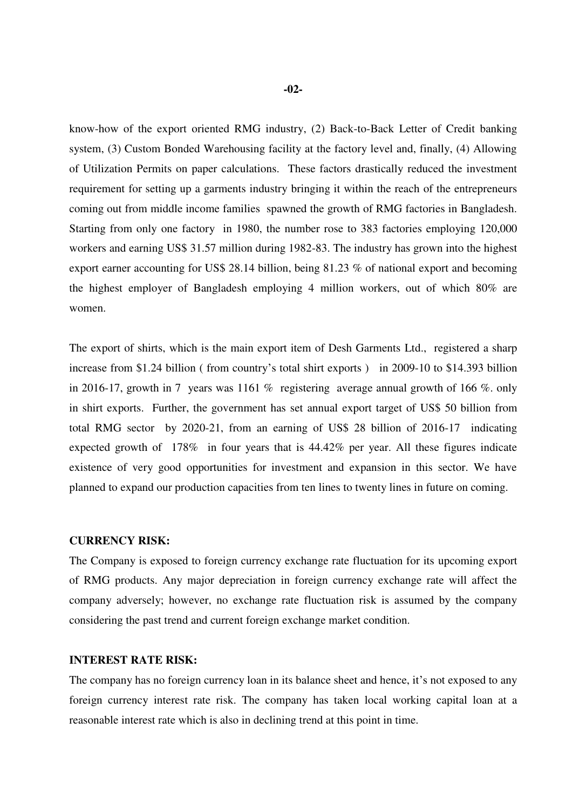know-how of the export oriented RMG industry, (2) Back-to-Back Letter of Credit banking system, (3) Custom Bonded Warehousing facility at the factory level and, finally, (4) Allowing of Utilization Permits on paper calculations. These factors drastically reduced the investment requirement for setting up a garments industry bringing it within the reach of the entrepreneurs coming out from middle income families spawned the growth of RMG factories in Bangladesh. Starting from only one factory in 1980, the number rose to 383 factories employing 120,000 workers and earning US\$ 31.57 million during 1982-83. The industry has grown into the highest export earner accounting for US\$ 28.14 billion, being 81.23 % of national export and becoming the highest employer of Bangladesh employing 4 million workers, out of which 80% are women.

The export of shirts, which is the main export item of Desh Garments Ltd., registered a sharp increase from \$1.24 billion ( from country's total shirt exports ) in 2009-10 to \$14.393 billion in 2016-17, growth in 7 years was 1161 % registering average annual growth of 166 %. only in shirt exports. Further, the government has set annual export target of US\$ 50 billion from total RMG sector by 2020-21, from an earning of US\$ 28 billion of 2016-17 indicating expected growth of 178% in four years that is 44.42% per year. All these figures indicate existence of very good opportunities for investment and expansion in this sector. We have planned to expand our production capacities from ten lines to twenty lines in future on coming.

#### **CURRENCY RISK:**

The Company is exposed to foreign currency exchange rate fluctuation for its upcoming export of RMG products. Any major depreciation in foreign currency exchange rate will affect the company adversely; however, no exchange rate fluctuation risk is assumed by the company considering the past trend and current foreign exchange market condition.

# **INTEREST RATE RISK:**

The company has no foreign currency loan in its balance sheet and hence, it's not exposed to any foreign currency interest rate risk. The company has taken local working capital loan at a reasonable interest rate which is also in declining trend at this point in time.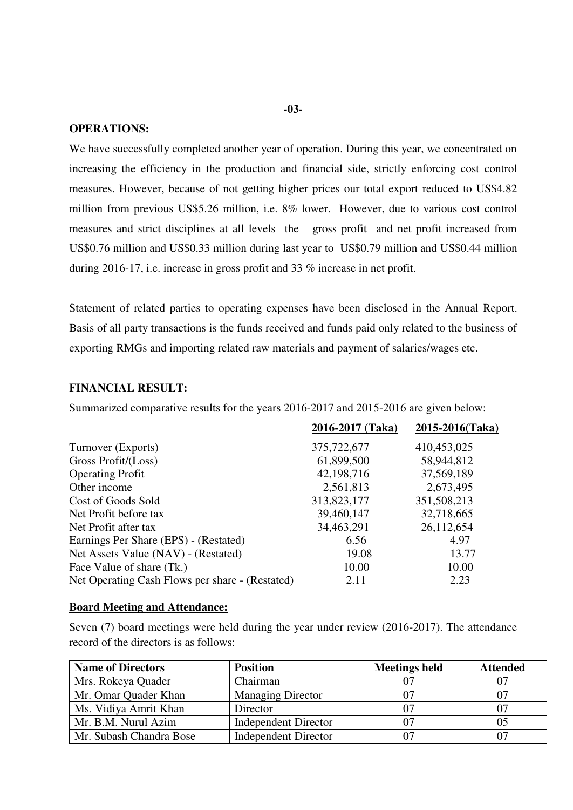#### **-03-**

# **OPERATIONS:**

We have successfully completed another year of operation. During this year, we concentrated on increasing the efficiency in the production and financial side, strictly enforcing cost control measures. However, because of not getting higher prices our total export reduced to US\$4.82 million from previous US\$5.26 million, i.e. 8% lower. However, due to various cost control measures and strict disciplines at all levels the gross profit and net profit increased from US\$0.76 million and US\$0.33 million during last year to US\$0.79 million and US\$0.44 million during 2016-17, i.e. increase in gross profit and 33 % increase in net profit.

Statement of related parties to operating expenses have been disclosed in the Annual Report. Basis of all party transactions is the funds received and funds paid only related to the business of exporting RMGs and importing related raw materials and payment of salaries/wages etc.

# **FINANCIAL RESULT:**

Summarized comparative results for the years 2016-2017 and 2015-2016 are given below:

|                                                 | 2016-2017 (Taka) | 2015-2016(Taka) |
|-------------------------------------------------|------------------|-----------------|
| Turnover (Exports)                              | 375,722,677      | 410,453,025     |
| Gross Profit/(Loss)                             | 61,899,500       | 58,944,812      |
| <b>Operating Profit</b>                         | 42,198,716       | 37,569,189      |
| Other income                                    | 2,561,813        | 2,673,495       |
| Cost of Goods Sold                              | 313,823,177      | 351,508,213     |
| Net Profit before tax                           | 39,460,147       | 32,718,665      |
| Net Profit after tax                            | 34,463,291       | 26,112,654      |
| Earnings Per Share (EPS) - (Restated)           | 6.56             | 4.97            |
| Net Assets Value (NAV) - (Restated)             | 19.08            | 13.77           |
| Face Value of share (Tk.)                       | 10.00            | 10.00           |
| Net Operating Cash Flows per share - (Restated) | 2.11             | 2.23            |
|                                                 |                  |                 |

#### **Board Meeting and Attendance:**

Seven (7) board meetings were held during the year under review (2016-2017). The attendance record of the directors is as follows:

| <b>Name of Directors</b> | <b>Position</b>             | <b>Meetings held</b> | <b>Attended</b> |
|--------------------------|-----------------------------|----------------------|-----------------|
| Mrs. Rokeya Quader       | Chairman                    |                      |                 |
| Mr. Omar Quader Khan     | <b>Managing Director</b>    |                      |                 |
| Ms. Vidiya Amrit Khan    | Director                    |                      |                 |
| Mr. B.M. Nurul Azim      | <b>Independent Director</b> |                      |                 |
| Mr. Subash Chandra Bose  | <b>Independent Director</b> |                      |                 |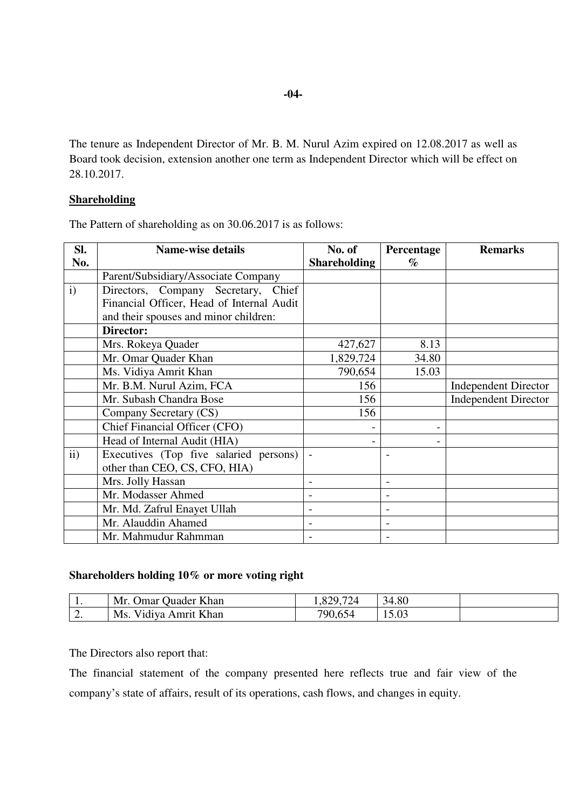The tenure as Independent Director of Mr. B. M. Nurul Azim expired on 12.08.2017 as well as Board took decision, extension another one term as Independent Director which will be effect on 28.10.2017.

# **Shareholding**

The Pattern of shareholding as on 30.06.2017 is as follows:

| SI.          | <b>Name-wise details</b>                  | No. of              | Percentage | <b>Remarks</b>              |
|--------------|-------------------------------------------|---------------------|------------|-----------------------------|
| No.          |                                           | <b>Shareholding</b> | $\%$       |                             |
|              | Parent/Subsidiary/Associate Company       |                     |            |                             |
| $\mathbf{i}$ | Directors, Company Secretary, Chief       |                     |            |                             |
|              | Financial Officer, Head of Internal Audit |                     |            |                             |
|              | and their spouses and minor children:     |                     |            |                             |
|              | Director:                                 |                     |            |                             |
|              | Mrs. Rokeya Quader                        | 427,627             | 8.13       |                             |
|              | Mr. Omar Quader Khan                      | 1,829,724           | 34.80      |                             |
|              | Ms. Vidiya Amrit Khan                     | 790,654             | 15.03      |                             |
|              | Mr. B.M. Nurul Azim, FCA                  | 156                 |            | <b>Independent Director</b> |
|              | Mr. Subash Chandra Bose                   | 156                 |            | <b>Independent Director</b> |
|              | Company Secretary (CS)                    | 156                 |            |                             |
|              | Chief Financial Officer (CFO)             |                     |            |                             |
|              | Head of Internal Audit (HIA)              |                     |            |                             |
| ii)          | Executives (Top five salaried persons)    |                     |            |                             |
|              | other than CEO, CS, CFO, HIA)             |                     |            |                             |
|              | Mrs. Jolly Hassan                         |                     |            |                             |
|              | Mr. Modasser Ahmed                        |                     |            |                             |
|              | Mr. Md. Zafrul Enayet Ullah               | $\overline{a}$      | -          |                             |
|              | Mr. Alauddin Ahamed                       |                     |            |                             |
|              | Mr. Mahmudur Rahmman                      |                     |            |                             |

# **Shareholders holding 10% or more voting right**

| . .      | Mr. Omar Quader Khan  | 1,829,724 | 34.80 |  |
|----------|-----------------------|-----------|-------|--|
| <u>.</u> | Ms. Vidiya Amrit Khan | 790,654   | 15.03 |  |

The Directors also report that:

The financial statement of the company presented here reflects true and fair view of the company's state of affairs, result of its operations, cash flows, and changes in equity.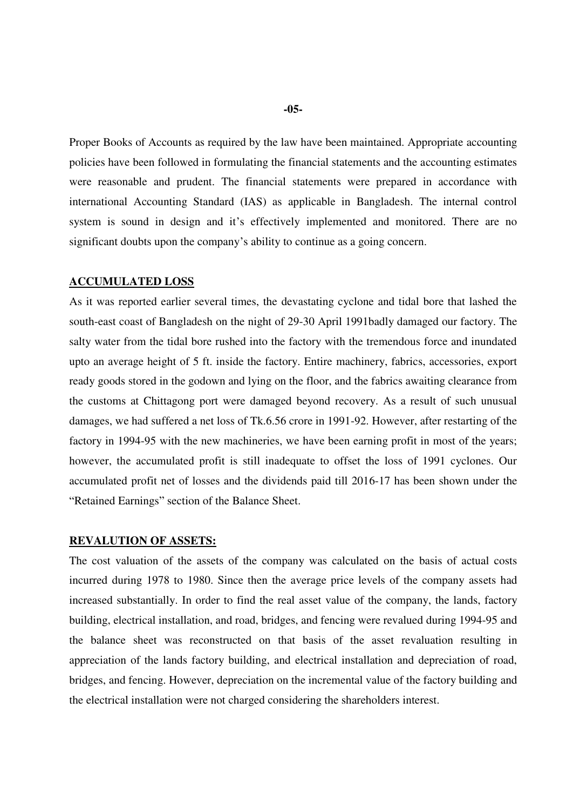Proper Books of Accounts as required by the law have been maintained. Appropriate accounting policies have been followed in formulating the financial statements and the accounting estimates were reasonable and prudent. The financial statements were prepared in accordance with international Accounting Standard (IAS) as applicable in Bangladesh. The internal control system is sound in design and it's effectively implemented and monitored. There are no significant doubts upon the company's ability to continue as a going concern.

#### **ACCUMULATED LOSS**

As it was reported earlier several times, the devastating cyclone and tidal bore that lashed the south-east coast of Bangladesh on the night of 29-30 April 1991badly damaged our factory. The salty water from the tidal bore rushed into the factory with the tremendous force and inundated upto an average height of 5 ft. inside the factory. Entire machinery, fabrics, accessories, export ready goods stored in the godown and lying on the floor, and the fabrics awaiting clearance from the customs at Chittagong port were damaged beyond recovery. As a result of such unusual damages, we had suffered a net loss of Tk.6.56 crore in 1991-92. However, after restarting of the factory in 1994-95 with the new machineries, we have been earning profit in most of the years; however, the accumulated profit is still inadequate to offset the loss of 1991 cyclones. Our accumulated profit net of losses and the dividends paid till 2016-17 has been shown under the "Retained Earnings" section of the Balance Sheet.

#### **REVALUTION OF ASSETS:**

The cost valuation of the assets of the company was calculated on the basis of actual costs incurred during 1978 to 1980. Since then the average price levels of the company assets had increased substantially. In order to find the real asset value of the company, the lands, factory building, electrical installation, and road, bridges, and fencing were revalued during 1994-95 and the balance sheet was reconstructed on that basis of the asset revaluation resulting in appreciation of the lands factory building, and electrical installation and depreciation of road, bridges, and fencing. However, depreciation on the incremental value of the factory building and the electrical installation were not charged considering the shareholders interest.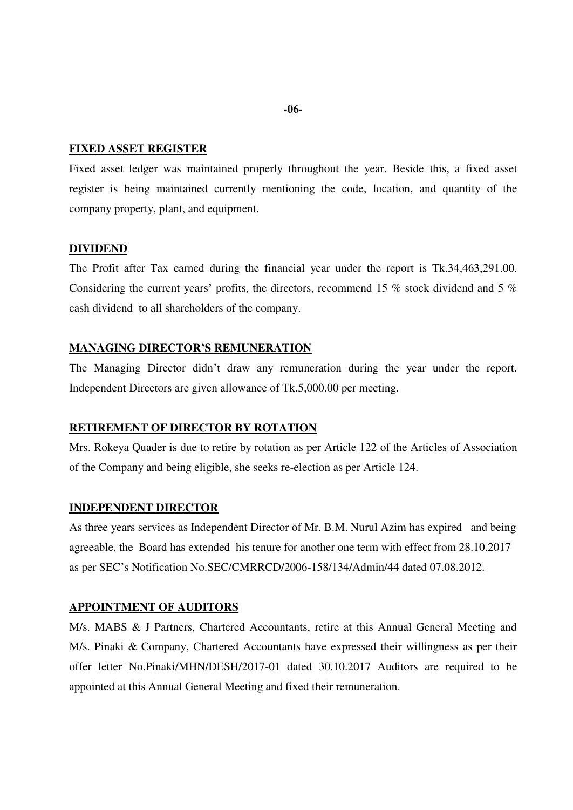#### **-06-**

# **FIXED ASSET REGISTER**

Fixed asset ledger was maintained properly throughout the year. Beside this, a fixed asset register is being maintained currently mentioning the code, location, and quantity of the company property, plant, and equipment.

# **DIVIDEND**

The Profit after Tax earned during the financial year under the report is Tk.34,463,291.00. Considering the current years' profits, the directors, recommend 15 % stock dividend and 5 % cash dividend to all shareholders of the company.

# **MANAGING DIRECTOR'S REMUNERATION**

The Managing Director didn't draw any remuneration during the year under the report. Independent Directors are given allowance of Tk.5,000.00 per meeting.

# **RETIREMENT OF DIRECTOR BY ROTATION**

Mrs. Rokeya Quader is due to retire by rotation as per Article 122 of the Articles of Association of the Company and being eligible, she seeks re-election as per Article 124.

#### **INDEPENDENT DIRECTOR**

As three years services as Independent Director of Mr. B.M. Nurul Azim has expired and being agreeable, the Board has extended his tenure for another one term with effect from 28.10.2017 as per SEC's Notification No.SEC/CMRRCD/2006-158/134/Admin/44 dated 07.08.2012.

#### **APPOINTMENT OF AUDITORS**

M/s. MABS & J Partners, Chartered Accountants, retire at this Annual General Meeting and M/s. Pinaki & Company, Chartered Accountants have expressed their willingness as per their offer letter No.Pinaki/MHN/DESH/2017-01 dated 30.10.2017 Auditors are required to be appointed at this Annual General Meeting and fixed their remuneration.